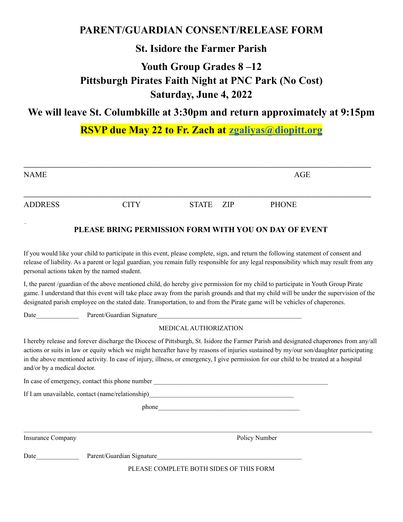## **PARENT/GUARDIAN CONSENT/RELEASE FORM**

## **St. Isidore the Farmer Parish**

# **Youth Group Grades 8 –12 Pittsburgh Pirates Faith Night at PNC Park (No Cost) Saturday, June 4, 2022**

# **We will leave St. Columbkille at 3:30pm and return approximately at 9:15pm**

## **RSVP due May 22 to Fr. Zach at [zgaliyas@diopitt.org](mailto:zgaliyas@diopitt.org)**

| <b>NAME</b>    |             |           | <b>AGE</b>   |  |
|----------------|-------------|-----------|--------------|--|
| <b>ADDRESS</b> | <b>CITY</b> | STATE ZIP | <b>PHONE</b> |  |

#### **PLEASE BRING PERMISSION FORM WITH YOU ON DAY OF EVENT**

If you would like your child to participate in this event, please complete, sign, and return the following statement of consent and release of liability. As a parent or legal guardian, you remain fully responsible for any legal responsibility which may result from any personal actions taken by the named student.

I, the parent /guardian of the above mentioned child, do hereby give permission for my child to participate in Youth Group Pirate game. I understand that this event will take place away from the parish grounds and that my child will be under the supervision of the designated parish employee on the stated date. Transportation, to and from the Pirate game will be vehicles of chaperones.

Date Parent/Guardian Signature

#### MEDICAL AUTHORIZATION

I hereby release and forever discharge the Diocese of Pittsburgh, St. Isidore the Farmer Parish and designated chaperones from any/all actions or suits in law or equity which we might hereafter have by reasons of injuries sustained by my/our son/daughter participating in the above mentioned activity. In case of injury, illness, or emergency, I give permission for our child to be treated at a hospital and/or by a medical doctor.

In case of emergency, contact this phone number

If I am unavailable, contact (name/relationship)

 $\phi$  phone

Insurance Company Policy Number

Date Parent/Guardian Signature

PLEASE COMPLETE BOTH SIDES OF THIS FORM

 $\mathcal{L}_\mathcal{L} = \{ \mathcal{L}_\mathcal{L} = \{ \mathcal{L}_\mathcal{L} = \{ \mathcal{L}_\mathcal{L} = \{ \mathcal{L}_\mathcal{L} = \{ \mathcal{L}_\mathcal{L} = \{ \mathcal{L}_\mathcal{L} = \{ \mathcal{L}_\mathcal{L} = \{ \mathcal{L}_\mathcal{L} = \{ \mathcal{L}_\mathcal{L} = \{ \mathcal{L}_\mathcal{L} = \{ \mathcal{L}_\mathcal{L} = \{ \mathcal{L}_\mathcal{L} = \{ \mathcal{L}_\mathcal{L} = \{ \mathcal{L}_\mathcal{$